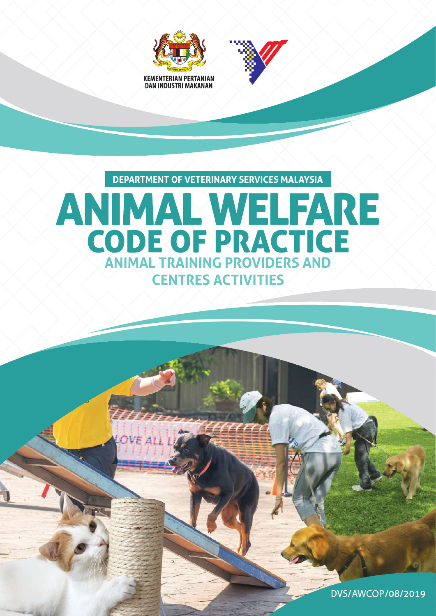



**DEPARTMENT OF VETERINARY SERVICES MALAYSIA** 

# ANIMAL WELFARE CODE OF PRACTICE **CENTRES ACTIVITIES**

DVS/AWCOP/08/2019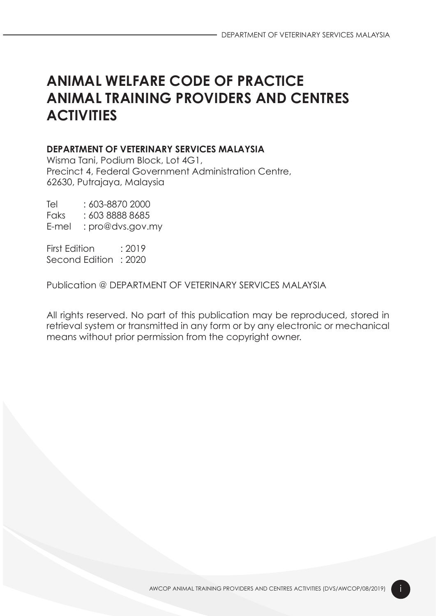# ANIMAL WELFARE CODE OF PRACTICE ANIMAL TRAINING PROVIDERS AND CENTRES **ACTIVITIES**

#### DEPARTMENT OF VETERINARY SERVICES MALAYSIA

Wisma Tani, Podium Block, Lot 4G1, Precinct 4, Federal Government Administration Centre, 62630, Putrajaya, Malaysia

Tel : 603-8870 2000 Faks : 603 8888 8685 E-mel : pro@dvs.gov.my

First Edition ... 2019 Second Edition : 2020

Publication @ DEPARTMENT OF VETERINARY SERVICES MALAYSIA

All rights reserved. No part of this publication may be reproduced, stored in retrieval system or transmitted in any form or by any electronic or mechanical means without prior permission from the copyright owner.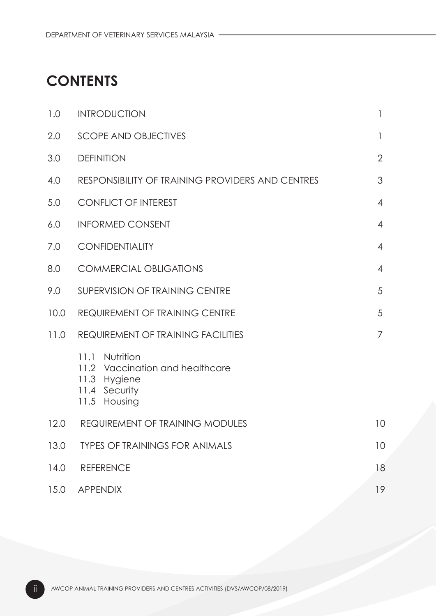# **CONTENTS**

| 1.0  | <b>INTRODUCTION</b>                                                                                      | 1              |  |  |  |
|------|----------------------------------------------------------------------------------------------------------|----------------|--|--|--|
| 2.0  | <b>SCOPE AND OBJECTIVES</b>                                                                              | 1              |  |  |  |
| 3.0  | <b>DEFINITION</b>                                                                                        | $\overline{2}$ |  |  |  |
| 4.0  | RESPONSIBILITY OF TRAINING PROVIDERS AND CENTRES                                                         | 3              |  |  |  |
| 5.0  | <b>CONFLICT OF INTEREST</b>                                                                              |                |  |  |  |
| 6.0  | <b>INFORMED CONSENT</b>                                                                                  | $\overline{4}$ |  |  |  |
| 7.0  | <b>CONFIDENTIALITY</b>                                                                                   | $\overline{4}$ |  |  |  |
| 8.0  | <b>COMMERCIAL OBLIGATIONS</b>                                                                            | $\overline{4}$ |  |  |  |
| 9.0  | SUPERVISION OF TRAINING CENTRE                                                                           | 5              |  |  |  |
| 10.0 | <b>REQUIREMENT OF TRAINING CENTRE</b>                                                                    | 5              |  |  |  |
| 11.0 | <b>REQUIREMENT OF TRAINING FACILITIES</b>                                                                |                |  |  |  |
|      | Nutrition<br>11.1<br>11.2 Vaccination and healthcare<br>Hygiene<br>11.3<br>11.4 Security<br>11.5 Housing |                |  |  |  |
| 12.0 | REQUIREMENT OF TRAINING MODULES                                                                          | 10             |  |  |  |
| 13.0 | <b>TYPES OF TRAININGS FOR ANIMALS</b>                                                                    | 10             |  |  |  |
| 14.0 | <b>REFERENCE</b>                                                                                         | 18             |  |  |  |
| 15.0 | <b>APPENDIX</b>                                                                                          | 19             |  |  |  |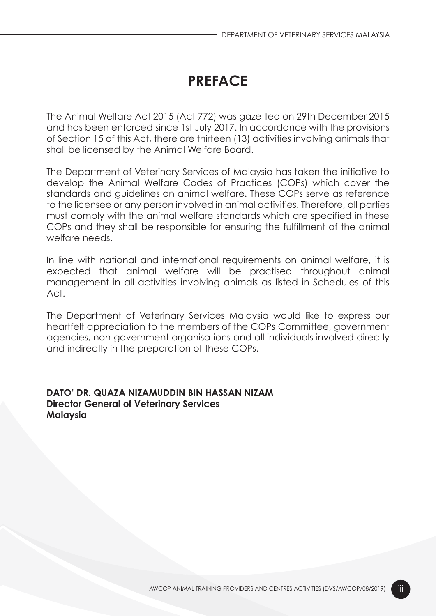# PREFACE

The Animal Welfare Act 2015 (Act 772) was gazetted on 29th December 2015 and has been enforced since 1st July 2017. In accordance with the provisions of Section 15 of this Act, there are thirteen (13) activities involving animals that shall be licensed by the Animal Welfare Board.

The Department of Veterinary Services of Malaysia has taken the initiative to develop the Animal Welfare Codes of Practices (COPs) which cover the standards and guidelines on animal welfare. These COPs serve as reference to the licensee or any person involved in animal activities. Therefore, all parties must comply with the animal welfare standards which are specified in these COPs and they shall be responsible for ensuring the fulfillment of the animal welfare needs.

In line with national and international requirements on animal welfare, it is expected that animal welfare will be practised throughout animal management in all activities involving animals as listed in Schedules of this Act.

The Department of Veterinary Services Malaysia would like to express our heartfelt appreciation to the members of the COPs Committee, government agencies, non-government organisations and all individuals involved directly and indirectly in the preparation of these COPs.

DATO' DR. QUAZA NIZAMUDDIN BIN HASSAN NIZAM Director General of Veterinary Services Malaysia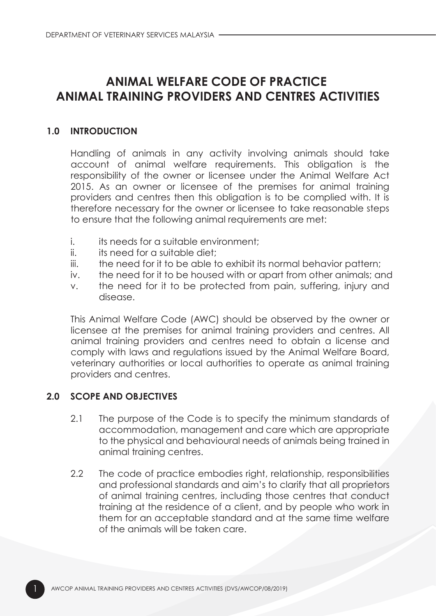## ANIMAL WELFARE CODE OF PRACTICE ANIMAL TRAINING PROVIDERS AND CENTRES ACTIVITIES

#### 1.0 INTRODUCTION

Handling of animals in any activity involving animals should take account of animal welfare requirements. This obligation is the responsibility of the owner or licensee under the Animal Welfare Act 2015. As an owner or licensee of the premises for animal training providers and centres then this obligation is to be complied with. It is therefore necessary for the owner or licensee to take reasonable steps to ensure that the following animal requirements are met:

- i. its needs for a suitable environment;
- ii. its need for a suitable diet;
- iii. the need for it to be able to exhibit its normal behavior pattern;
- iv. the need for it to be housed with or apart from other animals; and
- v. the need for it to be protected from pain, suffering, injury and disease.

This Animal Welfare Code (AWC) should be observed by the owner or licensee at the premises for animal training providers and centres. All animal training providers and centres need to obtain a license and comply with laws and regulations issued by the Animal Welfare Board, veterinary authorities or local authorities to operate as animal training providers and centres.

#### 2.0 SCOPE AND OBJECTIVES

- 2.1 The purpose of the Code is to specify the minimum standards of accommodation, management and care which are appropriate to the physical and behavioural needs of animals being trained in animal training centres.
- 2.2 The code of practice embodies right, relationship, responsibilities and professional standards and aim's to clarify that all proprietors of animal training centres, including those centres that conduct training at the residence of a client, and by people who work in them for an acceptable standard and at the same time welfare of the animals will be taken care.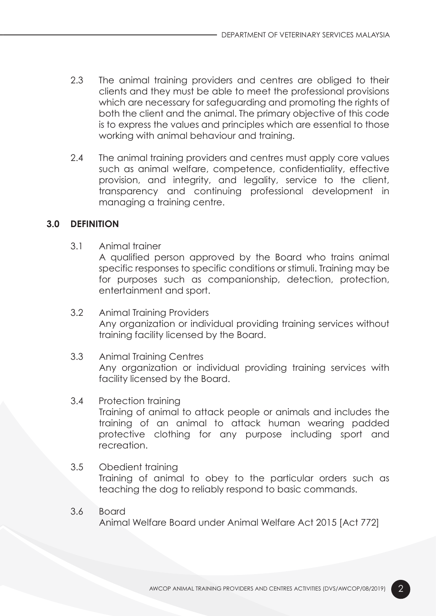- 2.3 The animal training providers and centres are obliged to their clients and they must be able to meet the professional provisions which are necessary for safeguarding and promoting the rights of both the client and the animal. The primary objective of this code is to express the values and principles which are essential to those working with animal behaviour and training.
- 2.4 The animal training providers and centres must apply core values such as animal welfare, competence, confidentiality, effective provision, and integrity, and legality, service to the client, transparency and continuing professional development in managing a training centre.

#### 3.0 DEFINITION

3.1 Animal trainer

 A qualified person approved by the Board who trains animal specific responses to specific conditions or stimuli. Training may be for purposes such as companionship, detection, protection, entertainment and sport.

- 3.2 Animal Training Providers Any organization or individual providing training services without training facility licensed by the Board.
- 3.3 Animal Training Centres Any organization or individual providing training services with facility licensed by the Board.

#### 3.4 Protection training

 Training of animal to attack people or animals and includes the training of an animal to attack human wearing padded protective clothing for any purpose including sport and recreation.

- 3.5 Obedient training Training of animal to obey to the particular orders such as teaching the dog to reliably respond to basic commands.
- 3.6 Board Animal Welfare Board under Animal Welfare Act 2015 [Act 772]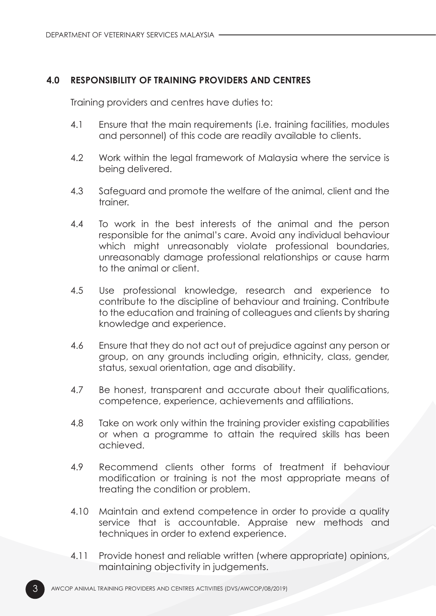#### 4.0 RESPONSIBILITY OF TRAINING PROVIDERS AND CENTRES

Training providers and centres have duties to:

- 4.1 Ensure that the main requirements (i.e. training facilities, modules and personnel) of this code are readily available to clients.
- 4.2 Work within the legal framework of Malaysia where the service is being delivered.
- 4.3 Safeguard and promote the welfare of the animal, client and the trainer.
- 4.4 To work in the best interests of the animal and the person responsible for the animal's care. Avoid any individual behaviour which might unreasonably violate professional boundaries, unreasonably damage professional relationships or cause harm to the animal or client.
- 4.5 Use professional knowledge, research and experience to contribute to the discipline of behaviour and training. Contribute to the education and training of colleagues and clients by sharing knowledge and experience.
- 4.6 Ensure that they do not act out of prejudice against any person or group, on any grounds including origin, ethnicity, class, gender, status, sexual orientation, age and disability.
- 4.7 Be honest, transparent and accurate about their qualifications, competence, experience, achievements and affiliations.
- 4.8 Take on work only within the training provider existing capabilities or when a programme to attain the required skills has been achieved.
- 4.9 Recommend clients other forms of treatment if behaviour modification or training is not the most appropriate means of treating the condition or problem.
- 4.10 Maintain and extend competence in order to provide a quality service that is accountable. Appraise new methods and techniques in order to extend experience.
- 4.11 Provide honest and reliable written (where appropriate) opinions, maintaining objectivity in judgements.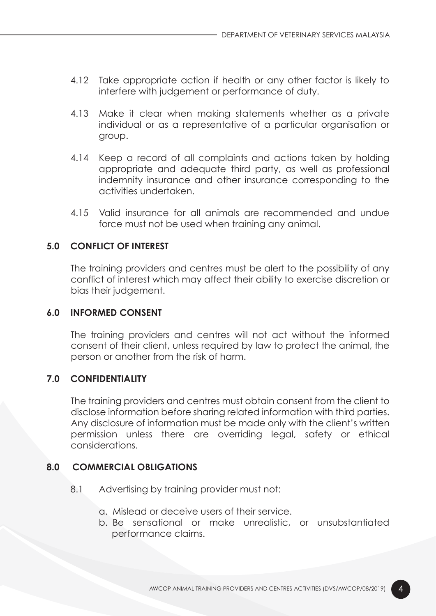- 4.12 Take appropriate action if health or any other factor is likely to interfere with judgement or performance of duty.
- 4.13 Make it clear when making statements whether as a private individual or as a representative of a particular organisation or group.
- 4.14 Keep a record of all complaints and actions taken by holding appropriate and adequate third party, as well as professional indemnity insurance and other insurance corresponding to the activities undertaken.
- 4.15 Valid insurance for all animals are recommended and undue force must not be used when training any animal.

#### 5.0 CONFLICT OF INTEREST

The training providers and centres must be alert to the possibility of any conflict of interest which may affect their ability to exercise discretion or bias their judgement.

#### 6.0 INFORMED CONSENT

The training providers and centres will not act without the informed consent of their client, unless required by law to protect the animal, the person or another from the risk of harm.

#### 7.0 CONFIDENTIALITY

The training providers and centres must obtain consent from the client to disclose information before sharing related information with third parties. Any disclosure of information must be made only with the client's written permission unless there are overriding legal, safety or ethical considerations.

#### 8.0 COMMERCIAL OBLIGATIONS

- 8.1 Advertising by training provider must not:
	- a. Mislead or deceive users of their service.
	- b. Be sensational or make unrealistic, or unsubstantiated performance claims.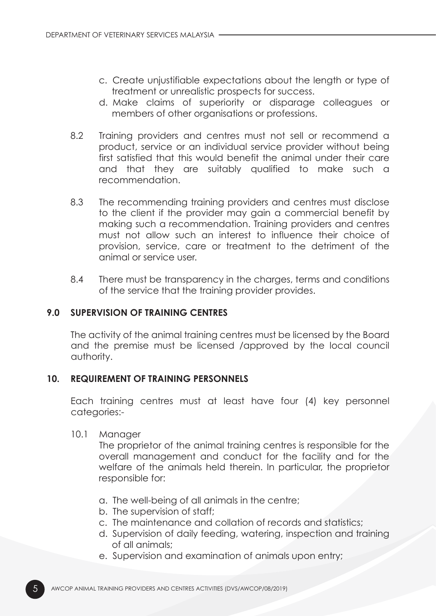- c. Create unjustifiable expectations about the length or type of treatment or unrealistic prospects for success.
- d. Make claims of superiority or disparage colleagues or members of other organisations or professions.
- 8.2 Training providers and centres must not sell or recommend a product, service or an individual service provider without being first satisfied that this would benefit the animal under their care and that they are suitably qualified to make such a recommendation.
- 8.3 The recommending training providers and centres must disclose to the client if the provider may gain a commercial benefit by making such a recommendation. Training providers and centres must not allow such an interest to influence their choice of provision, service, care or treatment to the detriment of the animal or service user.
- 8.4 There must be transparency in the charges, terms and conditions of the service that the training provider provides.

#### 9.0 SUPERVISION OF TRAINING CENTRES

The activity of the animal training centres must be licensed by the Board and the premise must be licensed /approved by the local council authority.

#### 10. REQUIREMENT OF TRAINING PERSONNELS

Each training centres must at least have four (4) key personnel categories:-

10.1 Manager

 The proprietor of the animal training centres is responsible for the overall management and conduct for the facility and for the welfare of the animals held therein. In particular, the proprietor responsible for:

- a. The well-being of all animals in the centre;
- b. The supervision of staff;
- c. The maintenance and collation of records and statistics;
- d. Supervision of daily feeding, watering, inspection and training of all animals;
- e. Supervision and examination of animals upon entry;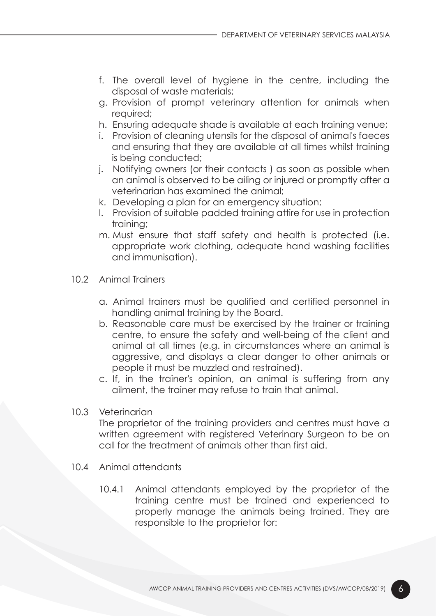- f. The overall level of hygiene in the centre, including the disposal of waste materials;
- g. Provision of prompt veterinary attention for animals when required;
- h. Ensuring adequate shade is available at each training venue;
- i. Provision of cleaning utensils for the disposal of animal's faeces and ensuring that they are available at all times whilst training is being conducted;
- j. Notifying owners (or their contacts ) as soon as possible when an animal is observed to be ailing or injured or promptly after a veterinarian has examined the animal;
- k. Developing a plan for an emergency situation;
- l. Provision of suitable padded training attire for use in protection training;
- m. Must ensure that staff safety and health is protected (i.e. appropriate work clothing, adequate hand washing facilities and immunisation).
- 10.2 Animal Trainers
	- a. Animal trainers must be qualified and certified personnel in handling animal training by the Board.
	- b. Reasonable care must be exercised by the trainer or training centre, to ensure the safety and well-being of the client and animal at all times (e.g. in circumstances where an animal is aggressive, and displays a clear danger to other animals or people it must be muzzled and restrained).
	- c. If, in the trainer's opinion, an animal is suffering from any ailment, the trainer may refuse to train that animal.

#### 10.3 Veterinarian

 The proprietor of the training providers and centres must have a written agreement with registered Veterinary Surgeon to be on call for the treatment of animals other than first aid.

- 10.4 Animal attendants
	- 10.4.1 Animal attendants employed by the proprietor of the training centre must be trained and experienced to properly manage the animals being trained. They are responsible to the proprietor for: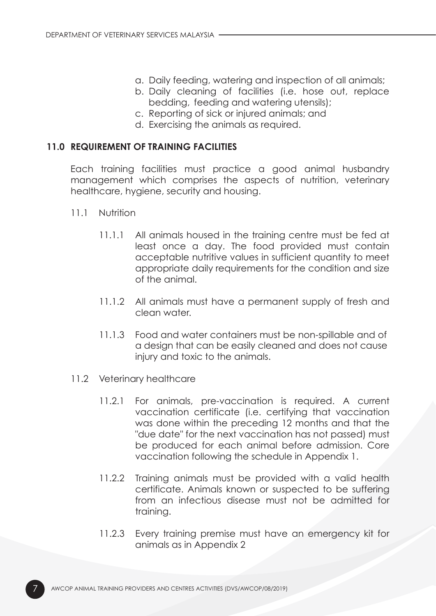- a. Daily feeding, watering and inspection of all animals;
- b. Daily cleaning of facilities (i.e. hose out, replace bedding, feeding and watering utensils);
- c. Reporting of sick or injured animals; and
- d. Exercising the animals as required.

#### 11.0 REQUIREMENT OF TRAINING FACILITIES

Each training facilities must practice a good animal husbandry management which comprises the aspects of nutrition, veterinary healthcare, hygiene, security and housing.

- 11.1 Nutrition
	- 11.1.1 All animals housed in the training centre must be fed at least once a day. The food provided must contain acceptable nutritive values in sufficient quantity to meet appropriate daily requirements for the condition and size of the animal.
	- 11.1.2 All animals must have a permanent supply of fresh and clean water.
	- 11.1.3 Food and water containers must be non-spillable and of a design that can be easily cleaned and does not cause injury and toxic to the animals.
- 11.2 Veterinary healthcare
	- 11.2.1 For animals, pre-vaccination is required. A current vaccination certificate (i.e. certifying that vaccination was done within the preceding 12 months and that the "due date" for the next vaccination has not passed) must be produced for each animal before admission. Core vaccination following the schedule in Appendix 1.
	- 11.2.2 Training animals must be provided with a valid health certificate. Animals known or suspected to be suffering from an infectious disease must not be admitted for training.
	- 11.2.3 Every training premise must have an emergency kit for animals as in Appendix 2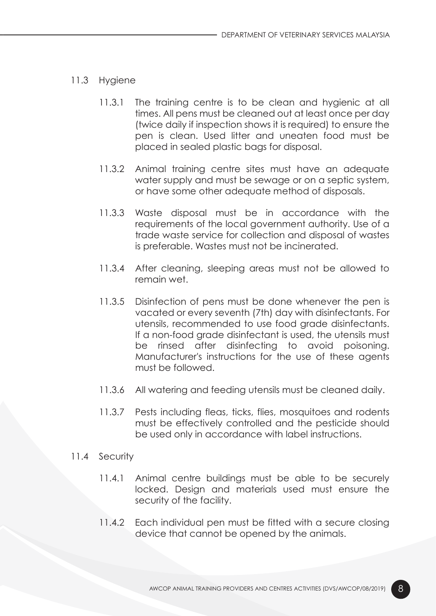- 11.3 Hygiene
	- 11.3.1 The training centre is to be clean and hygienic at all times. All pens must be cleaned out at least once per day (twice daily if inspection shows it is required) to ensure the pen is clean. Used litter and uneaten food must be placed in sealed plastic bags for disposal.
	- 11.3.2 Animal training centre sites must have an adequate water supply and must be sewage or on a septic system, or have some other adequate method of disposals.
	- 11.3.3 Waste disposal must be in accordance with the requirements of the local government authority. Use of a trade waste service for collection and disposal of wastes is preferable. Wastes must not be incinerated.
	- 11.3.4 After cleaning, sleeping areas must not be allowed to remain wet.
	- 11.3.5 Disinfection of pens must be done whenever the pen is vacated or every seventh (7th) day with disinfectants. For utensils, recommended to use food grade disinfectants. If a non-food grade disinfectant is used, the utensils must be rinsed after disinfecting to avoid poisoning. Manufacturer's instructions for the use of these agents must be followed.
	- 11.3.6 All watering and feeding utensils must be cleaned daily.
	- 11.3.7 Pests including fleas, ticks, flies, mosquitoes and rodents must be effectively controlled and the pesticide should be used only in accordance with label instructions.
- 11.4 Security
	- 11.4.1 Animal centre buildings must be able to be securely locked. Design and materials used must ensure the security of the facility.
	- 11.4.2 Each individual pen must be fitted with a secure closing device that cannot be opened by the animals.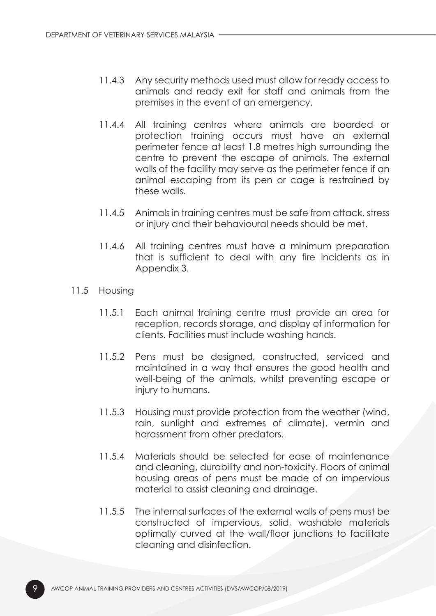- 11.4.3 Any security methods used must allow for ready access to animals and ready exit for staff and animals from the premises in the event of an emergency.
- 11.4.4 All training centres where animals are boarded or protection training occurs must have an external perimeter fence at least 1.8 metres high surrounding the centre to prevent the escape of animals. The external walls of the facility may serve as the perimeter fence if an animal escaping from its pen or cage is restrained by these walls.
- 11.4.5 Animals in training centres must be safe from attack, stress or injury and their behavioural needs should be met.
- 11.4.6 All training centres must have a minimum preparation that is sufficient to deal with any fire incidents as in Appendix 3.
- 11.5 Housing
	- 11.5.1 Each animal training centre must provide an area for reception, records storage, and display of information for clients. Facilities must include washing hands.
	- 11.5.2 Pens must be designed, constructed, serviced and maintained in a way that ensures the good health and well-being of the animals, whilst preventing escape or injury to humans.
	- 11.5.3 Housing must provide protection from the weather (wind, rain, sunlight and extremes of climate), vermin and harassment from other predators.
	- 11.5.4 Materials should be selected for ease of maintenance and cleaning, durability and non-toxicity. Floors of animal housing areas of pens must be made of an impervious material to assist cleaning and drainage.
	- 11.5.5 The internal surfaces of the external walls of pens must be constructed of impervious, solid, washable materials optimally curved at the wall/floor junctions to facilitate cleaning and disinfection.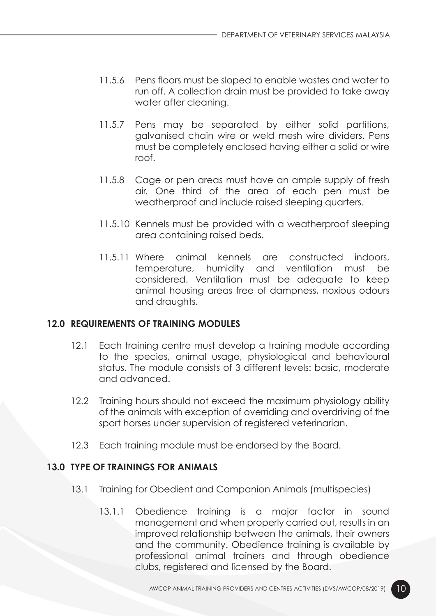- 11.5.6 Pens floors must be sloped to enable wastes and water to run off. A collection drain must be provided to take away water after cleaning.
- 11.5.7 Pens may be separated by either solid partitions, galvanised chain wire or weld mesh wire dividers. Pens must be completely enclosed having either a solid or wire roof.
- 11.5.8 Cage or pen areas must have an ample supply of fresh air. One third of the area of each pen must be weatherproof and include raised sleeping quarters.
- 11.5.10 Kennels must be provided with a weatherproof sleeping area containing raised beds.
- 11.5.11 Where animal kennels are constructed indoors, temperature, humidity and ventilation must be considered. Ventilation must be adequate to keep animal housing areas free of dampness, noxious odours and draughts.

#### 12.0 REQUIREMENTS OF TRAINING MODULES

- 12.1 Each training centre must develop a training module according to the species, animal usage, physiological and behavioural status. The module consists of 3 different levels: basic, moderate and advanced.
- 12.2 Training hours should not exceed the maximum physiology ability of the animals with exception of overriding and overdriving of the sport horses under supervision of registered veterinarian.
- 12.3 Each training module must be endorsed by the Board.

#### 13.0 TYPE OF TRAININGS FOR ANIMALS

- 13.1 Training for Obedient and Companion Animals (multispecies)
	- 13.1.1 Obedience training is a major factor in sound management and when properly carried out, results in an improved relationship between the animals, their owners and the community. Obedience training is available by professional animal trainers and through obedience clubs, registered and licensed by the Board.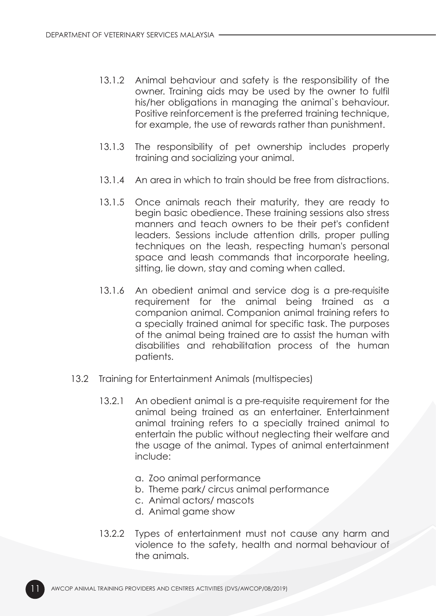- 13.1.2 Animal behaviour and safety is the responsibility of the owner. Training aids may be used by the owner to fulfil his/her obligations in managing the animal`s behaviour. Positive reinforcement is the preferred training technique, for example, the use of rewards rather than punishment.
- 13.1.3 The responsibility of pet ownership includes properly training and socializing your animal.
- 13.1.4 An area in which to train should be free from distractions.
- 13.1.5 Once animals reach their maturity, they are ready to begin basic obedience. These training sessions also stress manners and teach owners to be their pet's confident leaders. Sessions include attention drills, proper pulling techniques on the leash, respecting human's personal space and leash commands that incorporate heeling, sitting, lie down, stay and coming when called.
- 13.1.6 An obedient animal and service dog is a pre-requisite requirement for the animal being trained as a companion animal. Companion animal training refers to a specially trained animal for specific task. The purposes of the animal being trained are to assist the human with disabilities and rehabilitation process of the human patients.
- 13.2 Training for Entertainment Animals (multispecies)
	- 13.2.1 An obedient animal is a pre-requisite requirement for the animal being trained as an entertainer. Entertainment animal training refers to a specially trained animal to entertain the public without neglecting their welfare and the usage of the animal. Types of animal entertainment include:
		- a. Zoo animal performance
		- b. Theme park/ circus animal performance
		- c. Animal actors/ mascots
		- d. Animal game show
	- 13.2.2 Types of entertainment must not cause any harm and violence to the safety, health and normal behaviour of the animals.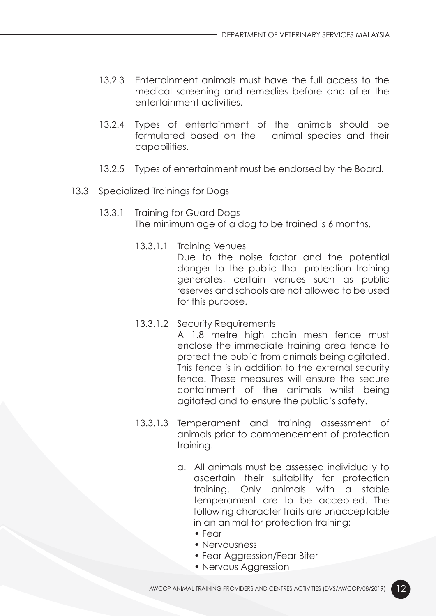- 13.2.3 Entertainment animals must have the full access to the medical screening and remedies before and after the entertainment activities.
- 13.2.4 Types of entertainment of the animals should be formulated based on the animal species and their capabilities.
- 13.2.5 Types of entertainment must be endorsed by the Board.
- 13.3 Specialized Trainings for Dogs
	- 13.3.1 Training for Guard Dogs The minimum age of a dog to be trained is 6 months.
		- 13.3.1.1 Training Venues

 Due to the noise factor and the potential danger to the public that protection training generates, certain venues such as public reserves and schools are not allowed to be used for this purpose.

13.3.1.2 Security Requirements

 A 1.8 metre high chain mesh fence must enclose the immediate training area fence to protect the public from animals being agitated. This fence is in addition to the external security fence. These measures will ensure the secure containment of the animals whilst being agitated and to ensure the public's safety.

- 13.3.1.3 Temperament and training assessment of animals prior to commencement of protection training.
	- a. All animals must be assessed individually to ascertain their suitability for protection training. Only animals with a stable temperament are to be accepted. The following character traits are unacceptable in an animal for protection training:
		- Fear
		- Nervousness
		- Fear Agaression/Fear Biter
		- Nervous Aggression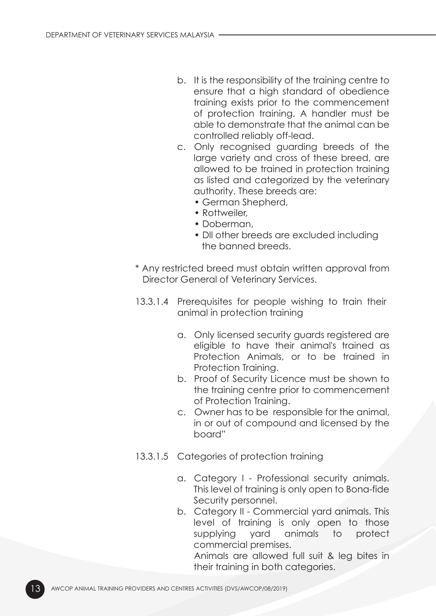- b. It is the responsibility of the training centre to ensure that a high standard of obedience training exists prior to the commencement of protection training. A handler must be able to demonstrate that the animal can be controlled reliably off-lead.
- c. Only recognised guarding breeds of the large variety and cross of these breed, are allowed to be trained in protection training as listed and categorized by the veterinary authority. These breeds are:
	- German Shepherd,
	- Rottweiler
	- Doberman,
	- Dll other breeds are excluded including the banned breeds.
- \* Any restricted breed must obtain written approval from Director General of Veterinary Services.
- 13.3.1.4 Prerequisites for people wishing to train their animal in protection training
	- a. Only licensed security guards registered are eligible to have their animal's trained as Protection Animals, or to be trained in Protection Training.
	- b. Proof of Security Licence must be shown to the training centre prior to commencement of Protection Training.
	- c. Owner has to be responsible for the animal, in or out of compound and licensed by the board"
- 13.3.1.5 Categories of protection training
	- a. Category I Professional security animals. This level of training is only open to Bona-fide Security personnel.
	- b. Category II Commercial yard animals. This level of training is only open to those supplying yard animals to protect commercial premises.

 Animals are allowed full suit & leg bites in their training in both categories.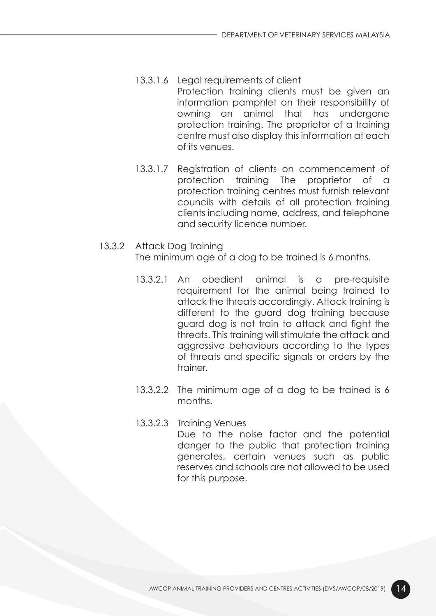- 13.3.1.6 Legal requirements of client Protection training clients must be given an information pamphlet on their responsibility of owning an animal that has undergone protection training. The proprietor of a training centre must also display this information at each of its venues.
- 13.3.1.7 Registration of clients on commencement of protection training The proprietor of a protection training centres must furnish relevant councils with details of all protection training clients including name, address, and telephone and security licence number.
- 13.3.2 Attack Dog Training The minimum age of a dog to be trained is 6 months.
	- 13.3.2.1 An obedient animal is a pre-requisite requirement for the animal being trained to attack the threats accordingly. Attack training is different to the guard dog training because guard dog is not train to attack and fight the threats. This training will stimulate the attack and aggressive behaviours according to the types of threats and specific signals or orders by the trainer.
	- 13.3.2.2 The minimum age of a dog to be trained is 6 months.
	- 13.3.2.3 Training Venues Due to the noise factor and the potential danger to the public that protection training generates, certain venues such as public reserves and schools are not allowed to be used for this purpose.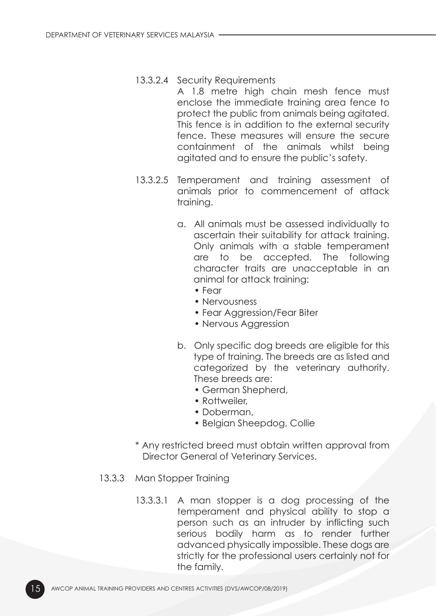#### 13.3.2.4 Security Requirements

- A 1.8 metre high chain mesh fence must enclose the immediate training area fence to protect the public from animals being agitated. This fence is in addition to the external security fence. These measures will ensure the secure containment of the animals whilst being agitated and to ensure the public's safety.
- 13.3.2.5 Temperament and training assessment of animals prior to commencement of attack training.
	- a. All animals must be assessed individually to ascertain their suitability for attack training. Only animals with a stable temperament are to be accepted. The following character traits are unacceptable in an animal for attack training:
		- Fear
		- Nervousness
		- Fear Aggression/Fear Biter
		- Nervous Aggression
	- b. Only specific dog breeds are eligible for this type of training. The breeds are as listed and categorized by the veterinary authority. These breeds are:
		- German Shepherd,
		- Rottweiler,
		- Doberman,
		- Belgian Sheepdog, Collie
- \* Any restricted breed must obtain written approval from Director General of Veterinary Services.
- 13.3.3 Man Stopper Training
	- 13.3.3.1 A man stopper is a dog processing of the temperament and physical ability to stop a person such as an intruder by inflicting such serious bodily harm as to render further advanced physically impossible. These dogs are strictly for the professional users certainly not for the family.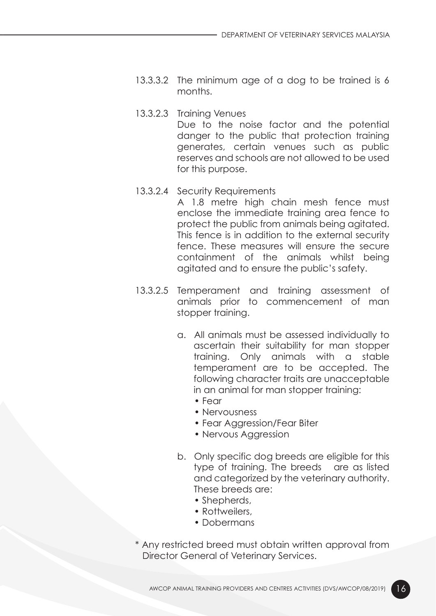- 13.3.3.2 The minimum age of a dog to be trained is 6 months.
- 13.3.2.3 Training Venues Due to the noise factor and the potential danger to the public that protection training generates, certain venues such as public reserves and schools are not allowed to be used for this purpose.
- 13.3.2.4 Security Requirements

 A 1.8 metre high chain mesh fence must enclose the immediate training area fence to protect the public from animals being agitated. This fence is in addition to the external security fence. These measures will ensure the secure containment of the animals whilst being agitated and to ensure the public's safety.

- 13.3.2.5 Temperament and training assessment of animals prior to commencement of man stopper training.
	- a. All animals must be assessed individually to ascertain their suitability for man stopper training. Only animals with a stable temperament are to be accepted. The following character traits are unacceptable in an animal for man stopper training:
		- Fear
		- Nervousness
		- Fear Agaression/Fear Biter
		- Nervous Aggression
	- b. Only specific dog breeds are eligible for this type of training. The breeds are as listed and categorized by the veterinary authority. These breeds are:
		- Shepherds,
		- Rottweilers,
		- Dobermans
- \* Any restricted breed must obtain written approval from Director General of Veterinary Services.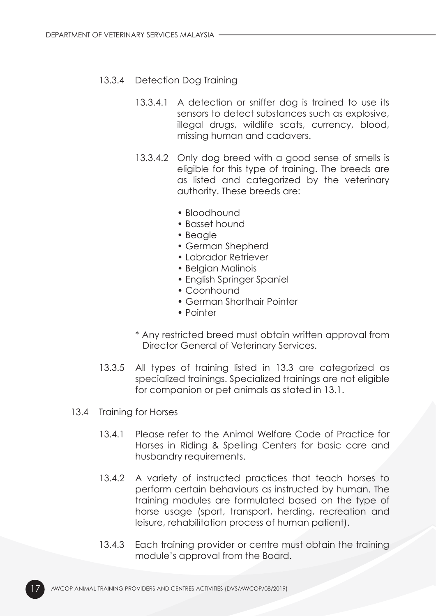#### 13.3.4 Detection Dog Training

- 13.3.4.1 A detection or sniffer dog is trained to use its sensors to detect substances such as explosive, illegal drugs, wildlife scats, currency, blood, missing human and cadavers.
- 13.3.4.2 Only dog breed with a good sense of smells is eligible for this type of training. The breeds are as listed and categorized by the veterinary authority. These breeds are:
	- Bloodhound
	- Basset hound
	- Beagle
	- German Shepherd
	- Labrador Retriever
	- Belgian Malinois
	- English Springer Spaniel
	- Coonhound
	- German Shorthair Pointer
	- Pointer
- \* Any restricted breed must obtain written approval from Director General of Veterinary Services.
- 13.3.5 All types of training listed in 13.3 are categorized as specialized trainings. Specialized trainings are not eligible for companion or pet animals as stated in 13.1.
- 13.4 Training for Horses
	- 13.4.1 Please refer to the Animal Welfare Code of Practice for Horses in Riding & Spelling Centers for basic care and husbandry requirements.
	- 13.4.2 A variety of instructed practices that teach horses to perform certain behaviours as instructed by human. The training modules are formulated based on the type of horse usage (sport, transport, herding, recreation and leisure, rehabilitation process of human patient).
	- 13.4.3 Each training provider or centre must obtain the training module's approval from the Board.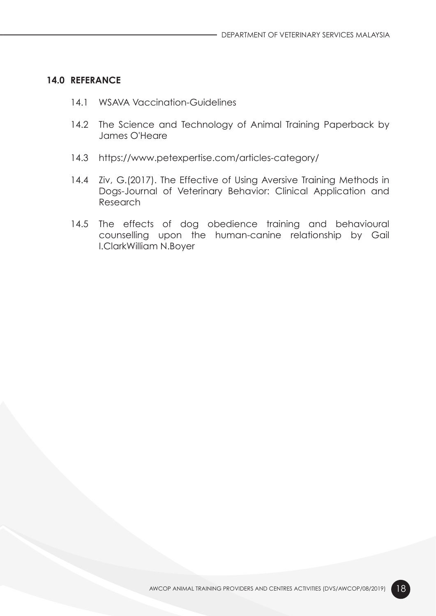#### 14.0 REFERANCE

- 14.1 WSAVA Vaccination-Guidelines
- 14.2 The Science and Technology of Animal Training Paperback by James O'Heare
- 14.3 https://www.petexpertise.com/articles-category/
- 14.4 Ziv, G.(2017). The Effective of Using Aversive Training Methods in Dogs-Journal of Veterinary Behavior: Clinical Application and Research
- 14.5 The effects of dog obedience training and behavioural counselling upon the human-canine relationship by Gail I.ClarkWilliam N.Boyer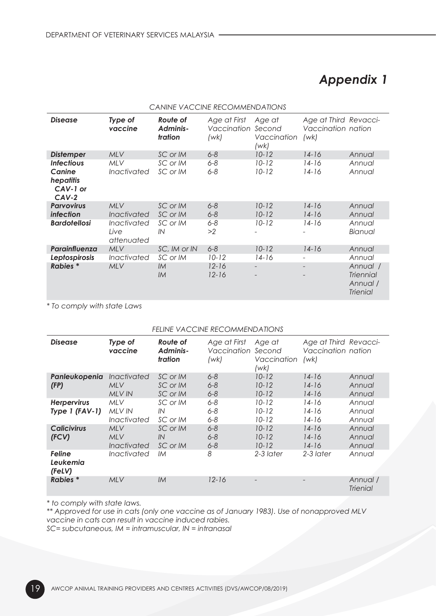## Appendix 1

| CANINE VACCINE RECOMMENDATIONS                                  |                                                |                                 |                                     |                                         |                                                     |                                                             |  |  |  |
|-----------------------------------------------------------------|------------------------------------------------|---------------------------------|-------------------------------------|-----------------------------------------|-----------------------------------------------------|-------------------------------------------------------------|--|--|--|
| <b>Disease</b>                                                  | Type of<br>vaccine                             | Route of<br>Adminis-<br>tration | Age at First<br>Vaccination<br>(wk) | Age at<br>Second<br>Vaccination<br>(wk) | Age at Third Revacci-<br>Vaccination nation<br>(wk) |                                                             |  |  |  |
| <b>Distemper</b>                                                | <b>MLV</b>                                     | SC or IM                        | $6 - 8$                             | $10 - 12$                               | $14 - 16$                                           | Annual                                                      |  |  |  |
| <b>Infectious</b><br>Canine<br>hepatitis<br>CAV-1 or<br>$CAV-2$ | <b>MLV</b><br>Inactivated                      | SC or IM<br>SC or IM            | $6 - 8$<br>$6 - 8$                  | $10 - 12$<br>$10 - 12$                  | $14-16$<br>$14-16$                                  | Annual<br>Annual                                            |  |  |  |
| <b>Parvovirus</b><br>infection                                  | <b>MLV</b><br><i><u><b>Inactivated</b></u></i> | SC or IM<br>SC or IM            | $6 - 8$<br>$6 - 8$                  | $10 - 12$<br>$10 - 12$                  | $14 - 16$<br>$14 - 16$                              | Annual<br>Annual                                            |  |  |  |
| <b>Bardotellosi</b>                                             | Inactivated<br>Live<br>attenuated              | SC or IM<br>IN                  | $6 - 8$<br>>2                       | $10 - 12$                               | $14 - 16$                                           | Annual<br>Bianual                                           |  |  |  |
| Parainfluenza                                                   | <b>MLV</b>                                     | SC, IM or IN                    | $6 - 8$                             | $10 - 12$                               | $14 - 16$                                           | Annual                                                      |  |  |  |
| Leptospirosis                                                   | Inactivated                                    | SC or IM                        | $10 - 12$                           | $14 - 16$                               |                                                     | Annual                                                      |  |  |  |
| <b>Rabies</b> *                                                 | <b>MLV</b>                                     | IM<br>IM                        | $12 - 16$<br>$12 - 16$              |                                         |                                                     | Annual /<br><b>Triennial</b><br>Annual /<br><b>Trienial</b> |  |  |  |

\* To comply with state Laws

#### FELINE VACCINE RECOMMENDATIONS

| <b>Disease</b>                         | Type of<br>vaccine                                       | Route of<br>Adminis-<br>tration  | Age at First<br>Vaccination<br>(wk) | Age at<br>Second<br>Vaccination<br>(wk) | Age at Third Revacci-<br>Vaccination nation<br>(wk) |                             |
|----------------------------------------|----------------------------------------------------------|----------------------------------|-------------------------------------|-----------------------------------------|-----------------------------------------------------|-----------------------------|
| Panleukopenia<br>(FP)                  | <i><u><b>Inactivated</b></u></i><br><b>MLV</b><br>MLV IN | SC or IM<br>SC or IM<br>SC or IM | $6 - 8$<br>$6 - 8$<br>$6 - 8$       | $10 - 12$<br>$10 - 12$<br>$10 - 12$     | $14 - 16$<br>$14 - 16$<br>$14 - 16$                 | Annual<br>Annual<br>Annual  |
| <b>Herpervirus</b><br>Type $1$ (FAV-1) | MLV<br>MLV IN<br>Inactivated                             | SC or IM<br>IN<br>SC or IM       | $6 - 8$<br>$6 - 8$<br>$6 - 8$       | $10 - 12$<br>$10 - 12$<br>$10 - 12$     | $14-16$<br>$14-16$<br>$14-16$                       | Annual<br>Annual<br>Annual  |
| <b>Calicivirus</b><br>(FCV)            | <b>MLV</b><br>MLV<br>Inactivated                         | SC or IM<br>IN<br>SC or IM       | $6 - 8$<br>$6 - 8$<br>$6 - 8$       | $10 - 12$<br>$10 - 12$<br>$10 - 12$     | $14 - 16$<br>$14 - 16$<br>$14 - 16$                 | Annual<br>Annual<br>Annual  |
| <b>Feline</b><br>Leukemia<br>(FeLV)    | Inactivated                                              | IМ                               | 8                                   | 2-3 later                               | 2-3 later                                           | Annual                      |
| <b>Rabies</b> *                        | <b>MLV</b>                                               | IM                               | $12 - 16$                           |                                         |                                                     | Annual /<br><b>Trienial</b> |

\* to comply with state laws.

\*\* Approved for use in cats (only one vaccine as of January 1983). Use of nonapproved MLV vaccine in cats can result in vaccine induced rabies.

SC= subcutaneous, IM = intramuscular, IN = intranasal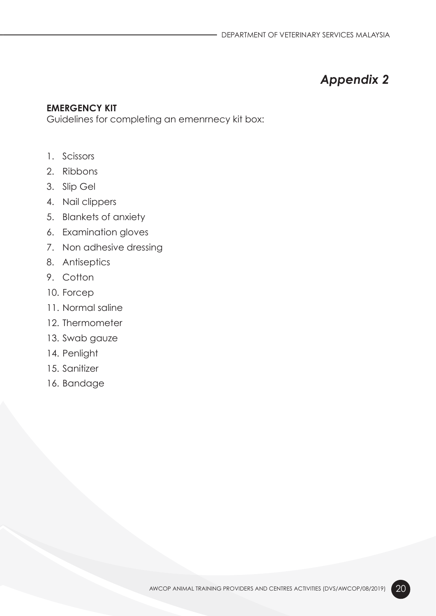## Appendix 2

#### EMERGENCY KIT

Guidelines for completing an emenrnecy kit box:

- 1. Scissors
- 2. Ribbons
- 3. Slip Gel
- 4. Nail clippers
- 5. Blankets of anxiety
- 6. Examination gloves
- 7. Non adhesive dressing
- 8. Antiseptics
- 9. Cotton
- 10. Forcep
- 11. Normal saline
- 12. Thermometer
- 13. Swab gauze
- 14. Penlight
- 15. Sanitizer
- 16. Bandage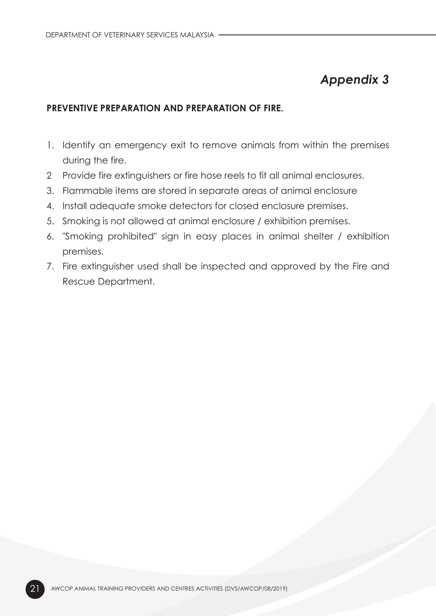## Appendix 3

#### PREVENTIVE PREPARATION AND PREPARATION OF FIRE.

- 1. Identify an emergency exit to remove animals from within the premises during the fire.
- 2 Provide fire extinguishers or fire hose reels to fit all animal enclosures.
- 3. Flammable items are stored in separate areas of animal enclosure
- 4. Install adequate smoke detectors for closed enclosure premises.
- 5. Smoking is not allowed at animal enclosure / exhibition premises.
- 6. "Smoking prohibited" sign in easy places in animal shelter / exhibition premises.
- 7. Fire extinguisher used shall be inspected and approved by the Fire and Rescue Department.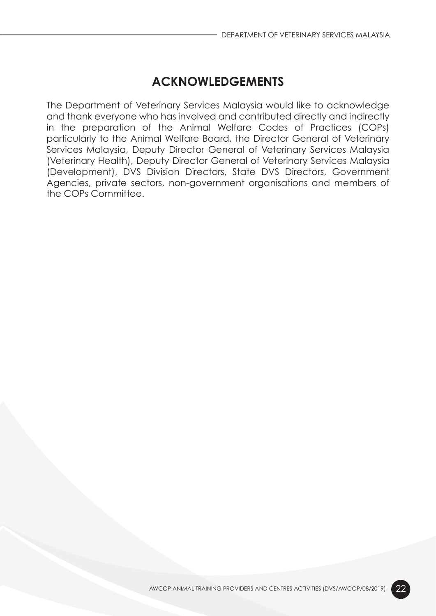## ACKNOWLEDGEMENTS

The Department of Veterinary Services Malaysia would like to acknowledge and thank everyone who has involved and contributed directly and indirectly in the preparation of the Animal Welfare Codes of Practices (COPs) particularly to the Animal Welfare Board, the Director General of Veterinary Services Malaysia, Deputy Director General of Veterinary Services Malaysia (Veterinary Health), Deputy Director General of Veterinary Services Malaysia (Development), DVS Division Directors, State DVS Directors, Government Agencies, private sectors, non-government organisations and members of the COPs Committee.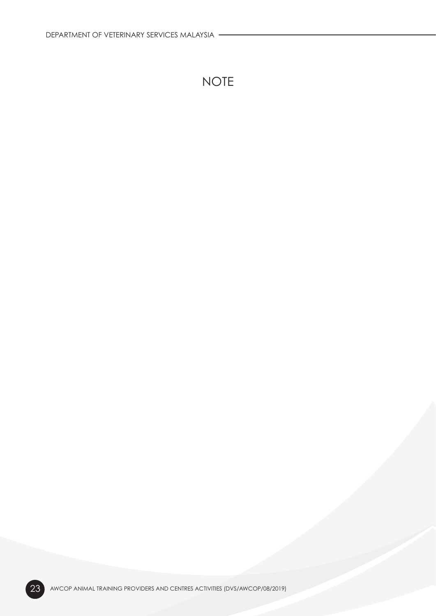# NOTE

23 AWCOP ANIMAL TRAINING PROVIDERS AND CENTRES ACTIVITIES (DVS/AWCOP/08/2019)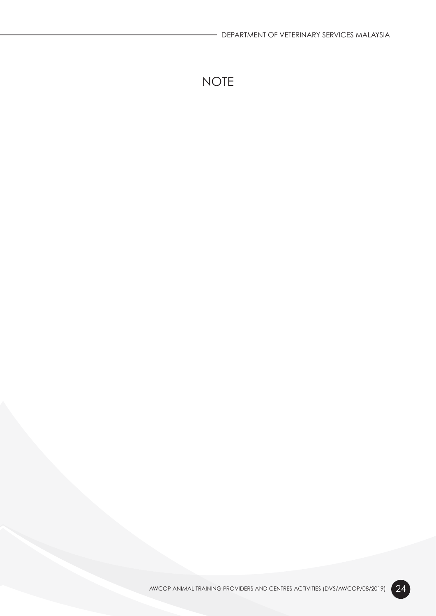# NOTE